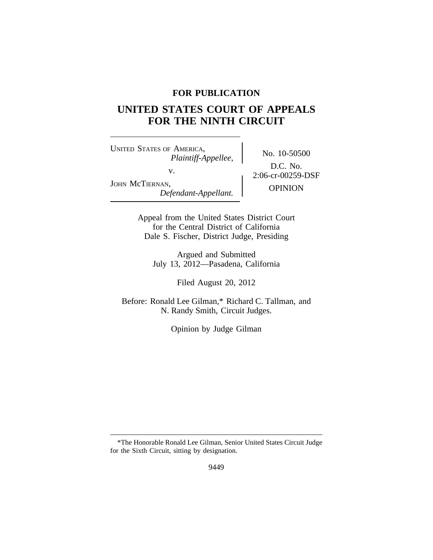## **FOR PUBLICATION**

# **UNITED STATES COURT OF APPEALS FOR THE NINTH CIRCUIT**

<sup>U</sup>NITED STATES OF AMERICA, No. 10-50500 *Plaintiff-Appellee,* v.  $2:06-cr-00259-DSF$ JOHN McTIERNAN, OPINION *Defendant-Appellant.*

D.C. No.

Appeal from the United States District Court for the Central District of California Dale S. Fischer, District Judge, Presiding

Argued and Submitted July 13, 2012—Pasadena, California

Filed August 20, 2012

Before: Ronald Lee Gilman,\* Richard C. Tallman, and N. Randy Smith, Circuit Judges.

Opinion by Judge Gilman

<sup>\*</sup>The Honorable Ronald Lee Gilman, Senior United States Circuit Judge for the Sixth Circuit, sitting by designation.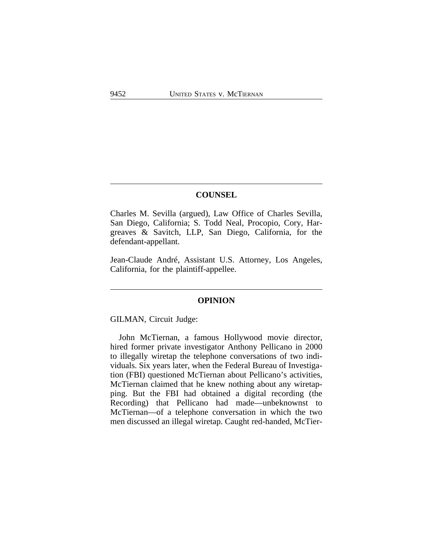## **COUNSEL**

Charles M. Sevilla (argued), Law Office of Charles Sevilla, San Diego, California; S. Todd Neal, Procopio, Cory, Hargreaves & Savitch, LLP, San Diego, California, for the defendant-appellant.

Jean-Claude André, Assistant U.S. Attorney, Los Angeles, California, for the plaintiff-appellee.

#### **OPINION**

GILMAN, Circuit Judge:

John McTiernan, a famous Hollywood movie director, hired former private investigator Anthony Pellicano in 2000 to illegally wiretap the telephone conversations of two individuals. Six years later, when the Federal Bureau of Investigation (FBI) questioned McTiernan about Pellicano's activities, McTiernan claimed that he knew nothing about any wiretapping. But the FBI had obtained a digital recording (the Recording) that Pellicano had made—unbeknownst to McTiernan—of a telephone conversation in which the two men discussed an illegal wiretap. Caught red-handed, McTier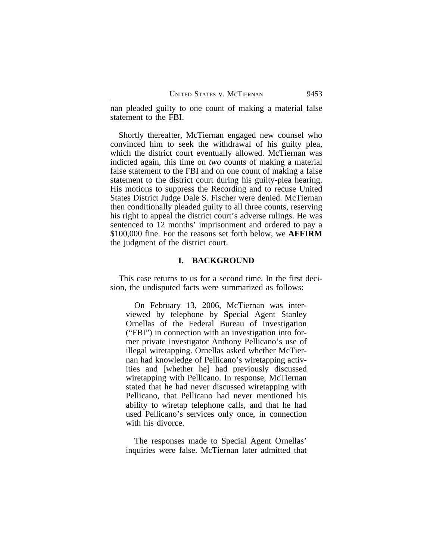nan pleaded guilty to one count of making a material false statement to the FBI.

Shortly thereafter, McTiernan engaged new counsel who convinced him to seek the withdrawal of his guilty plea, which the district court eventually allowed. McTiernan was indicted again, this time on *two* counts of making a material false statement to the FBI and on one count of making a false statement to the district court during his guilty-plea hearing. His motions to suppress the Recording and to recuse United States District Judge Dale S. Fischer were denied. McTiernan then conditionally pleaded guilty to all three counts, reserving his right to appeal the district court's adverse rulings. He was sentenced to 12 months' imprisonment and ordered to pay a \$100,000 fine. For the reasons set forth below, we **AFFIRM** the judgment of the district court.

#### **I. BACKGROUND**

This case returns to us for a second time. In the first decision, the undisputed facts were summarized as follows:

On February 13, 2006, McTiernan was interviewed by telephone by Special Agent Stanley Ornellas of the Federal Bureau of Investigation ("FBI") in connection with an investigation into former private investigator Anthony Pellicano's use of illegal wiretapping. Ornellas asked whether McTiernan had knowledge of Pellicano's wiretapping activities and [whether he] had previously discussed wiretapping with Pellicano. In response, McTiernan stated that he had never discussed wiretapping with Pellicano, that Pellicano had never mentioned his ability to wiretap telephone calls, and that he had used Pellicano's services only once, in connection with his divorce.

The responses made to Special Agent Ornellas' inquiries were false. McTiernan later admitted that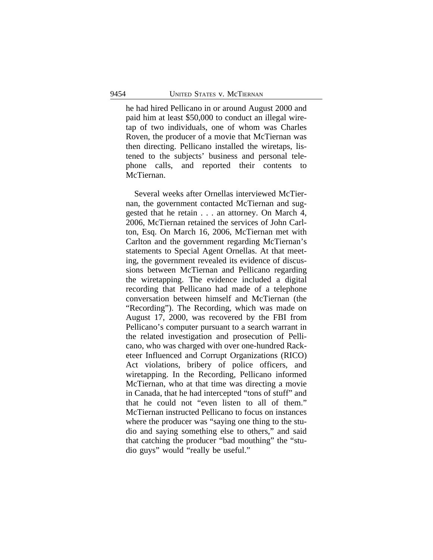he had hired Pellicano in or around August 2000 and paid him at least \$50,000 to conduct an illegal wiretap of two individuals, one of whom was Charles Roven, the producer of a movie that McTiernan was then directing. Pellicano installed the wiretaps, listened to the subjects' business and personal telephone calls, and reported their contents to McTiernan.

Several weeks after Ornellas interviewed McTiernan, the government contacted McTiernan and suggested that he retain . . . an attorney. On March 4, 2006, McTiernan retained the services of John Carlton, Esq. On March 16, 2006, McTiernan met with Carlton and the government regarding McTiernan's statements to Special Agent Ornellas. At that meeting, the government revealed its evidence of discussions between McTiernan and Pellicano regarding the wiretapping. The evidence included a digital recording that Pellicano had made of a telephone conversation between himself and McTiernan (the "Recording"). The Recording, which was made on August 17, 2000, was recovered by the FBI from Pellicano's computer pursuant to a search warrant in the related investigation and prosecution of Pellicano, who was charged with over one-hundred Racketeer Influenced and Corrupt Organizations (RICO) Act violations, bribery of police officers, and wiretapping. In the Recording, Pellicano informed McTiernan, who at that time was directing a movie in Canada, that he had intercepted "tons of stuff" and that he could not "even listen to all of them." McTiernan instructed Pellicano to focus on instances where the producer was "saying one thing to the studio and saying something else to others," and said that catching the producer "bad mouthing" the "studio guys" would "really be useful."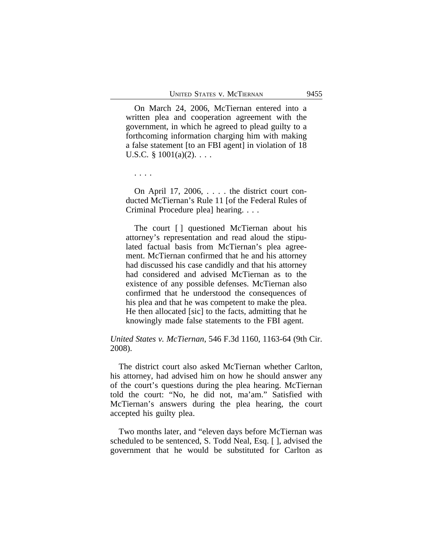On March 24, 2006, McTiernan entered into a written plea and cooperation agreement with the government, in which he agreed to plead guilty to a forthcoming information charging him with making a false statement [to an FBI agent] in violation of 18 U.S.C.  $\S$  1001(a)(2). . . .

. . . .

On April 17, 2006, . . . . the district court conducted McTiernan's Rule 11 [of the Federal Rules of Criminal Procedure plea] hearing. . . .

The court [ ] questioned McTiernan about his attorney's representation and read aloud the stipulated factual basis from McTiernan's plea agreement. McTiernan confirmed that he and his attorney had discussed his case candidly and that his attorney had considered and advised McTiernan as to the existence of any possible defenses. McTiernan also confirmed that he understood the consequences of his plea and that he was competent to make the plea. He then allocated [sic] to the facts, admitting that he knowingly made false statements to the FBI agent.

## *United States v. McTiernan*, 546 F.3d 1160, 1163-64 (9th Cir. 2008).

The district court also asked McTiernan whether Carlton, his attorney, had advised him on how he should answer any of the court's questions during the plea hearing. McTiernan told the court: "No, he did not, ma'am." Satisfied with McTiernan's answers during the plea hearing, the court accepted his guilty plea.

Two months later, and "eleven days before McTiernan was scheduled to be sentenced, S. Todd Neal, Esq. [ ], advised the government that he would be substituted for Carlton as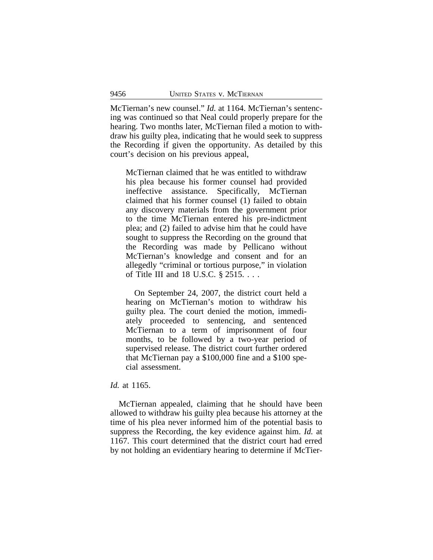McTiernan's new counsel." *Id.* at 1164. McTiernan's sentencing was continued so that Neal could properly prepare for the hearing. Two months later, McTiernan filed a motion to withdraw his guilty plea, indicating that he would seek to suppress the Recording if given the opportunity. As detailed by this court's decision on his previous appeal,

McTiernan claimed that he was entitled to withdraw his plea because his former counsel had provided ineffective assistance. Specifically, McTiernan claimed that his former counsel (1) failed to obtain any discovery materials from the government prior to the time McTiernan entered his pre-indictment plea; and (2) failed to advise him that he could have sought to suppress the Recording on the ground that the Recording was made by Pellicano without McTiernan's knowledge and consent and for an allegedly "criminal or tortious purpose," in violation of Title III and 18 U.S.C. § 2515. . . .

On September 24, 2007, the district court held a hearing on McTiernan's motion to withdraw his guilty plea. The court denied the motion, immediately proceeded to sentencing, and sentenced McTiernan to a term of imprisonment of four months, to be followed by a two-year period of supervised release. The district court further ordered that McTiernan pay a \$100,000 fine and a \$100 special assessment.

## *Id.* at 1165.

McTiernan appealed, claiming that he should have been allowed to withdraw his guilty plea because his attorney at the time of his plea never informed him of the potential basis to suppress the Recording, the key evidence against him. *Id.* at 1167. This court determined that the district court had erred by not holding an evidentiary hearing to determine if McTier-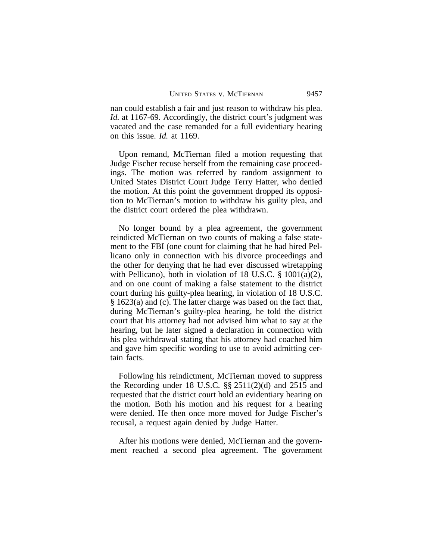nan could establish a fair and just reason to withdraw his plea. *Id.* at 1167-69. Accordingly, the district court's judgment was vacated and the case remanded for a full evidentiary hearing on this issue. *Id.* at 1169.

Upon remand, McTiernan filed a motion requesting that Judge Fischer recuse herself from the remaining case proceedings. The motion was referred by random assignment to United States District Court Judge Terry Hatter, who denied the motion. At this point the government dropped its opposition to McTiernan's motion to withdraw his guilty plea, and the district court ordered the plea withdrawn.

No longer bound by a plea agreement, the government reindicted McTiernan on two counts of making a false statement to the FBI (one count for claiming that he had hired Pellicano only in connection with his divorce proceedings and the other for denying that he had ever discussed wiretapping with Pellicano), both in violation of 18 U.S.C.  $\S$  1001(a)(2), and on one count of making a false statement to the district court during his guilty-plea hearing, in violation of 18 U.S.C. § 1623(a) and (c). The latter charge was based on the fact that, during McTiernan's guilty-plea hearing, he told the district court that his attorney had not advised him what to say at the hearing, but he later signed a declaration in connection with his plea withdrawal stating that his attorney had coached him and gave him specific wording to use to avoid admitting certain facts.

Following his reindictment, McTiernan moved to suppress the Recording under 18 U.S.C. §§ 2511(2)(d) and 2515 and requested that the district court hold an evidentiary hearing on the motion. Both his motion and his request for a hearing were denied. He then once more moved for Judge Fischer's recusal, a request again denied by Judge Hatter.

After his motions were denied, McTiernan and the government reached a second plea agreement. The government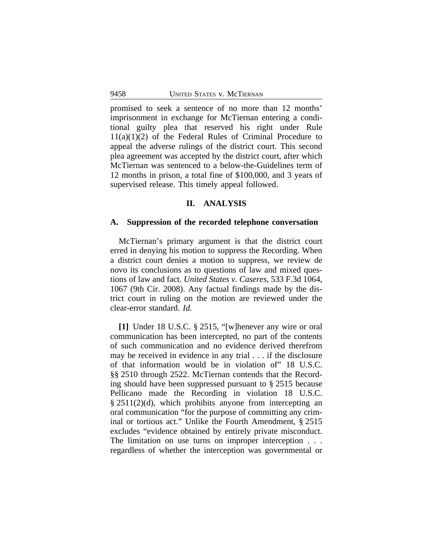promised to seek a sentence of no more than 12 months' imprisonment in exchange for McTiernan entering a conditional guilty plea that reserved his right under Rule  $11(a)(1)(2)$  of the Federal Rules of Criminal Procedure to appeal the adverse rulings of the district court. This second plea agreement was accepted by the district court, after which McTiernan was sentenced to a below-the-Guidelines term of 12 months in prison, a total fine of \$100,000, and 3 years of supervised release. This timely appeal followed.

#### **II. ANALYSIS**

#### **A. Suppression of the recorded telephone conversation**

McTiernan's primary argument is that the district court erred in denying his motion to suppress the Recording. When a district court denies a motion to suppress, we review de novo its conclusions as to questions of law and mixed questions of law and fact. *United States v. Caseres*, 533 F.3d 1064, 1067 (9th Cir. 2008). Any factual findings made by the district court in ruling on the motion are reviewed under the clear-error standard. *Id.*

**[1]** Under 18 U.S.C. § 2515, "[w]henever any wire or oral communication has been intercepted, no part of the contents of such communication and no evidence derived therefrom may be received in evidence in any trial . . . if the disclosure of that information would be in violation of" 18 U.S.C. §§ 2510 through 2522. McTiernan contends that the Recording should have been suppressed pursuant to § 2515 because Pellicano made the Recording in violation 18 U.S.C. § 2511(2)(d), which prohibits anyone from intercepting an oral communication "for the purpose of committing any criminal or tortious act." Unlike the Fourth Amendment, § 2515 excludes "evidence obtained by entirely private misconduct. The limitation on use turns on improper interception . . . regardless of whether the interception was governmental or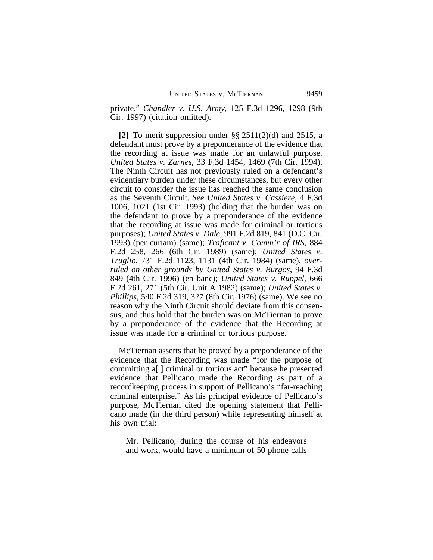private." *Chandler v. U.S. Army*, 125 F.3d 1296, 1298 (9th Cir. 1997) (citation omitted).

**[2]** To merit suppression under §§ 2511(2)(d) and 2515, a defendant must prove by a preponderance of the evidence that the recording at issue was made for an unlawful purpose. *United States v. Zarnes*, 33 F.3d 1454, 1469 (7th Cir. 1994). The Ninth Circuit has not previously ruled on a defendant's evidentiary burden under these circumstances, but every other circuit to consider the issue has reached the same conclusion as the Seventh Circuit. *See United States v. Cassiere*, 4 F.3d 1006, 1021 (1st Cir. 1993) (holding that the burden was on the defendant to prove by a preponderance of the evidence that the recording at issue was made for criminal or tortious purposes); *United States v. Dale*, 991 F.2d 819, 841 (D.C. Cir. 1993) (per curiam) (same); *Traficant v. Comm'r of IRS*, 884 F.2d 258, 266 (6th Cir. 1989) (same); *United States v. Truglio*, 731 F.2d 1123, 1131 (4th Cir. 1984) (same), *overruled on other grounds by United States v. Burgos*, 94 F.3d 849 (4th Cir. 1996) (en banc); *United States v. Ruppel*, 666 F.2d 261, 271 (5th Cir. Unit A 1982) (same); *United States v. Phillips*, 540 F.2d 319, 327 (8th Cir. 1976) (same). We see no reason why the Ninth Circuit should deviate from this consensus, and thus hold that the burden was on McTiernan to prove by a preponderance of the evidence that the Recording at issue was made for a criminal or tortious purpose.

McTiernan asserts that he proved by a preponderance of the evidence that the Recording was made "for the purpose of committing a[ ] criminal or tortious act" because he presented evidence that Pellicano made the Recording as part of a recordkeeping process in support of Pellicano's "far-reaching criminal enterprise." As his principal evidence of Pellicano's purpose, McTiernan cited the opening statement that Pellicano made (in the third person) while representing himself at his own trial:

Mr. Pellicano, during the course of his endeavors and work, would have a minimum of 50 phone calls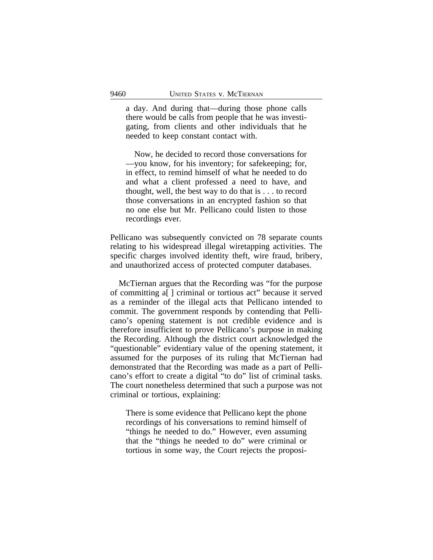a day. And during that—during those phone calls there would be calls from people that he was investigating, from clients and other individuals that he needed to keep constant contact with.

Now, he decided to record those conversations for —you know, for his inventory; for safekeeping; for, in effect, to remind himself of what he needed to do and what a client professed a need to have, and thought, well, the best way to do that is . . . to record those conversations in an encrypted fashion so that no one else but Mr. Pellicano could listen to those recordings ever.

Pellicano was subsequently convicted on 78 separate counts relating to his widespread illegal wiretapping activities. The specific charges involved identity theft, wire fraud, bribery, and unauthorized access of protected computer databases.

McTiernan argues that the Recording was "for the purpose of committing a[ ] criminal or tortious act" because it served as a reminder of the illegal acts that Pellicano intended to commit. The government responds by contending that Pellicano's opening statement is not credible evidence and is therefore insufficient to prove Pellicano's purpose in making the Recording. Although the district court acknowledged the "questionable" evidentiary value of the opening statement, it assumed for the purposes of its ruling that McTiernan had demonstrated that the Recording was made as a part of Pellicano's effort to create a digital "to do" list of criminal tasks. The court nonetheless determined that such a purpose was not criminal or tortious, explaining:

There is some evidence that Pellicano kept the phone recordings of his conversations to remind himself of "things he needed to do." However, even assuming that the "things he needed to do" were criminal or tortious in some way, the Court rejects the proposi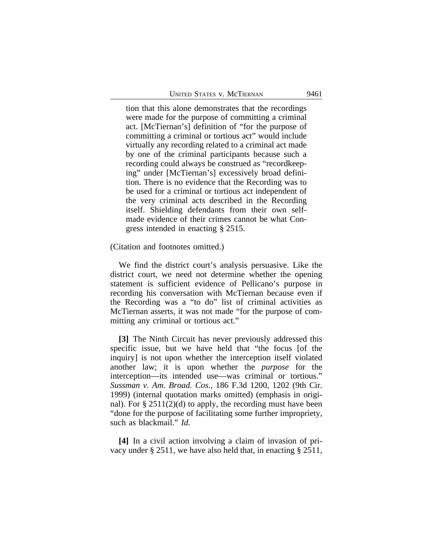tion that this alone demonstrates that the recordings were made for the purpose of committing a criminal act. [McTiernan's] definition of "for the purpose of committing a criminal or tortious act" would include virtually any recording related to a criminal act made by one of the criminal participants because such a recording could always be construed as "recordkeeping" under [McTiernan's] excessively broad definition. There is no evidence that the Recording was to be used for a criminal or tortious act independent of the very criminal acts described in the Recording itself. Shielding defendants from their own selfmade evidence of their crimes cannot be what Congress intended in enacting § 2515.

(Citation and footnotes omitted.)

We find the district court's analysis persuasive. Like the district court, we need not determine whether the opening statement is sufficient evidence of Pellicano's purpose in recording his conversation with McTiernan because even if the Recording was a "to do" list of criminal activities as McTiernan asserts, it was not made "for the purpose of committing any criminal or tortious act."

**[3]** The Ninth Circuit has never previously addressed this specific issue, but we have held that "the focus [of the inquiry] is not upon whether the interception itself violated another law; it is upon whether the *purpose* for the interception—its intended use—was criminal or tortious." *Sussman v. Am. Broad. Cos.*, 186 F.3d 1200, 1202 (9th Cir. 1999) (internal quotation marks omitted) (emphasis in original). For  $\S 2511(2)(d)$  to apply, the recording must have been "done for the purpose of facilitating some further impropriety, such as blackmail." *Id.*

**[4]** In a civil action involving a claim of invasion of privacy under § 2511, we have also held that, in enacting § 2511,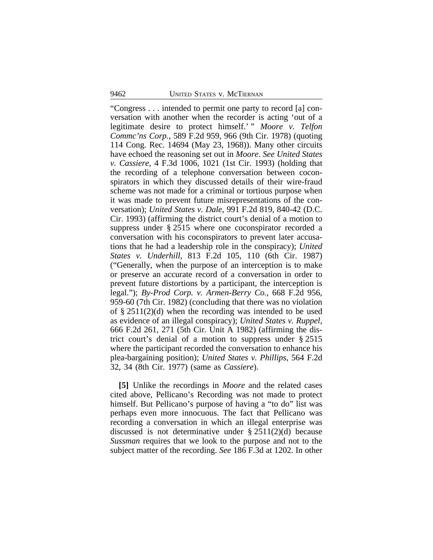"Congress . . . intended to permit one party to record [a] conversation with another when the recorder is acting 'out of a legitimate desire to protect himself.' " *Moore v. Telfon Commc'ns Corp.*, 589 F.2d 959, 966 (9th Cir. 1978) (quoting 114 Cong. Rec. 14694 (May 23, 1968)). Many other circuits have echoed the reasoning set out in *Moore*. *See United States v. Cassiere*, 4 F.3d 1006, 1021 (1st Cir. 1993) (holding that the recording of a telephone conversation between coconspirators in which they discussed details of their wire-fraud scheme was not made for a criminal or tortious purpose when it was made to prevent future misrepresentations of the conversation); *United States v. Dale*, 991 F.2d 819, 840-42 (D.C. Cir. 1993) (affirming the district court's denial of a motion to suppress under § 2515 where one coconspirator recorded a conversation with his coconspirators to prevent later accusations that he had a leadership role in the conspiracy); *United States v. Underhill*, 813 F.2d 105, 110 (6th Cir. 1987) ("Generally, when the purpose of an interception is to make or preserve an accurate record of a conversation in order to prevent future distortions by a participant, the interception is legal."); *By-Prod Corp. v. Armen-Berry Co.*, 668 F.2d 956, 959-60 (7th Cir. 1982) (concluding that there was no violation of § 2511(2)(d) when the recording was intended to be used as evidence of an illegal conspiracy); *United States v. Ruppel*, 666 F.2d 261, 271 (5th Cir. Unit A 1982) (affirming the district court's denial of a motion to suppress under § 2515 where the participant recorded the conversation to enhance his plea-bargaining position); *United States v. Phillips*, 564 F.2d 32, 34 (8th Cir. 1977) (same as *Cassiere*).

**[5]** Unlike the recordings in *Moore* and the related cases cited above, Pellicano's Recording was not made to protect himself. But Pellicano's purpose of having a "to do" list was perhaps even more innocuous. The fact that Pellicano was recording a conversation in which an illegal enterprise was discussed is not determinative under  $\S 2511(2)(d)$  because *Sussman* requires that we look to the purpose and not to the subject matter of the recording. *See* 186 F.3d at 1202. In other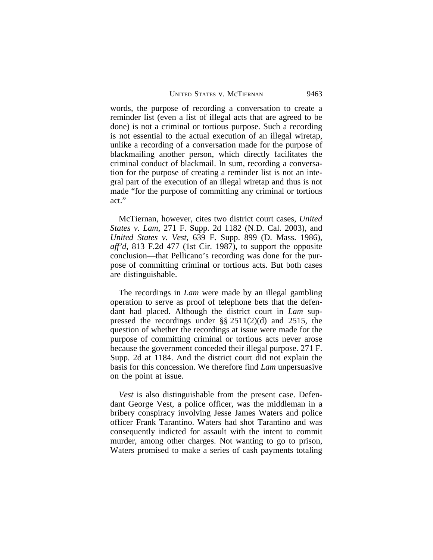words, the purpose of recording a conversation to create a reminder list (even a list of illegal acts that are agreed to be done) is not a criminal or tortious purpose. Such a recording is not essential to the actual execution of an illegal wiretap, unlike a recording of a conversation made for the purpose of blackmailing another person, which directly facilitates the criminal conduct of blackmail. In sum, recording a conversation for the purpose of creating a reminder list is not an integral part of the execution of an illegal wiretap and thus is not made "for the purpose of committing any criminal or tortious act."

McTiernan, however, cites two district court cases, *United States v. Lam*, 271 F. Supp. 2d 1182 (N.D. Cal. 2003), and *United States v. Vest*, 639 F. Supp. 899 (D. Mass. 1986), *aff'd*, 813 F.2d 477 (1st Cir. 1987), to support the opposite conclusion—that Pellicano's recording was done for the purpose of committing criminal or tortious acts. But both cases are distinguishable.

The recordings in *Lam* were made by an illegal gambling operation to serve as proof of telephone bets that the defendant had placed. Although the district court in *Lam* suppressed the recordings under §§ 2511(2)(d) and 2515, the question of whether the recordings at issue were made for the purpose of committing criminal or tortious acts never arose because the government conceded their illegal purpose. 271 F. Supp. 2d at 1184. And the district court did not explain the basis for this concession. We therefore find *Lam* unpersuasive on the point at issue.

*Vest* is also distinguishable from the present case. Defendant George Vest, a police officer, was the middleman in a bribery conspiracy involving Jesse James Waters and police officer Frank Tarantino. Waters had shot Tarantino and was consequently indicted for assault with the intent to commit murder, among other charges. Not wanting to go to prison, Waters promised to make a series of cash payments totaling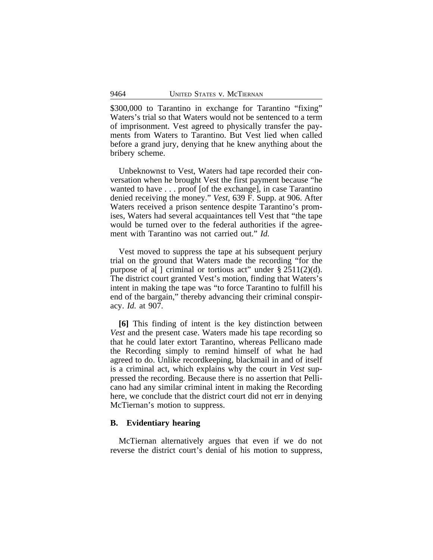\$300,000 to Tarantino in exchange for Tarantino "fixing" Waters's trial so that Waters would not be sentenced to a term of imprisonment. Vest agreed to physically transfer the payments from Waters to Tarantino. But Vest lied when called before a grand jury, denying that he knew anything about the bribery scheme.

Unbeknownst to Vest, Waters had tape recorded their conversation when he brought Vest the first payment because "he wanted to have . . . proof [of the exchange], in case Tarantino denied receiving the money." *Vest*, 639 F. Supp. at 906. After Waters received a prison sentence despite Tarantino's promises, Waters had several acquaintances tell Vest that "the tape would be turned over to the federal authorities if the agreement with Tarantino was not carried out." *Id.*

Vest moved to suppress the tape at his subsequent perjury trial on the ground that Waters made the recording "for the purpose of a[] criminal or tortious act" under  $\S 2511(2)(d)$ . The district court granted Vest's motion, finding that Waters's intent in making the tape was "to force Tarantino to fulfill his end of the bargain," thereby advancing their criminal conspiracy. *Id.* at 907.

**[6]** This finding of intent is the key distinction between *Vest* and the present case. Waters made his tape recording so that he could later extort Tarantino, whereas Pellicano made the Recording simply to remind himself of what he had agreed to do. Unlike recordkeeping, blackmail in and of itself is a criminal act, which explains why the court in *Vest* suppressed the recording. Because there is no assertion that Pellicano had any similar criminal intent in making the Recording here, we conclude that the district court did not err in denying McTiernan's motion to suppress.

## **B. Evidentiary hearing**

McTiernan alternatively argues that even if we do not reverse the district court's denial of his motion to suppress,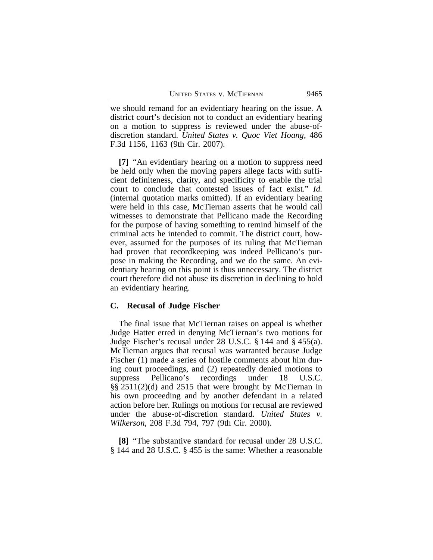we should remand for an evidentiary hearing on the issue. A district court's decision not to conduct an evidentiary hearing on a motion to suppress is reviewed under the abuse-ofdiscretion standard. *United States v. Quoc Viet Hoang*, 486 F.3d 1156, 1163 (9th Cir. 2007).

**[7]** "An evidentiary hearing on a motion to suppress need be held only when the moving papers allege facts with sufficient definiteness, clarity, and specificity to enable the trial court to conclude that contested issues of fact exist." *Id.* (internal quotation marks omitted). If an evidentiary hearing were held in this case, McTiernan asserts that he would call witnesses to demonstrate that Pellicano made the Recording for the purpose of having something to remind himself of the criminal acts he intended to commit. The district court, however, assumed for the purposes of its ruling that McTiernan had proven that recordkeeping was indeed Pellicano's purpose in making the Recording, and we do the same. An evidentiary hearing on this point is thus unnecessary. The district court therefore did not abuse its discretion in declining to hold an evidentiary hearing.

#### **C. Recusal of Judge Fischer**

The final issue that McTiernan raises on appeal is whether Judge Hatter erred in denying McTiernan's two motions for Judge Fischer's recusal under 28 U.S.C. § 144 and § 455(a). McTiernan argues that recusal was warranted because Judge Fischer (1) made a series of hostile comments about him during court proceedings, and (2) repeatedly denied motions to suppress Pellicano's recordings under 18 U.S.C. §§ 2511(2)(d) and 2515 that were brought by McTiernan in his own proceeding and by another defendant in a related action before her. Rulings on motions for recusal are reviewed under the abuse-of-discretion standard. *United States v. Wilkerson*, 208 F.3d 794, 797 (9th Cir. 2000).

**[8]** "The substantive standard for recusal under 28 U.S.C. § 144 and 28 U.S.C. § 455 is the same: Whether a reasonable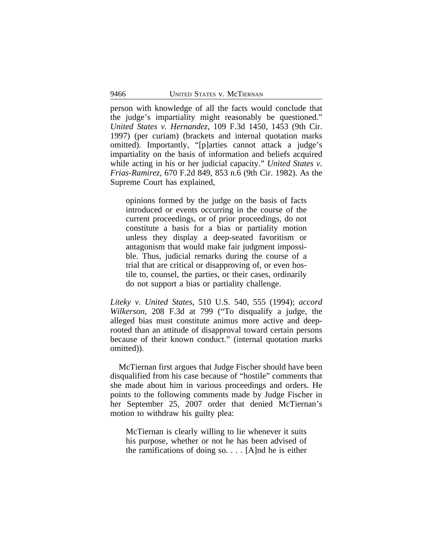person with knowledge of all the facts would conclude that the judge's impartiality might reasonably be questioned." *United States v. Hernandez*, 109 F.3d 1450, 1453 (9th Cir. 1997) (per curiam) (brackets and internal quotation marks omitted). Importantly, "[p]arties cannot attack a judge's impartiality on the basis of information and beliefs acquired while acting in his or her judicial capacity." *United States v. Frias-Ramirez*, 670 F.2d 849, 853 n.6 (9th Cir. 1982). As the Supreme Court has explained,

opinions formed by the judge on the basis of facts introduced or events occurring in the course of the current proceedings, or of prior proceedings, do not constitute a basis for a bias or partiality motion unless they display a deep-seated favoritism or antagonism that would make fair judgment impossible. Thus, judicial remarks during the course of a trial that are critical or disapproving of, or even hostile to, counsel, the parties, or their cases, ordinarily do not support a bias or partiality challenge.

*Liteky v. United States*, 510 U.S. 540, 555 (1994); *accord Wilkerson*, 208 F.3d at 799 ("To disqualify a judge, the alleged bias must constitute animus more active and deeprooted than an attitude of disapproval toward certain persons because of their known conduct." (internal quotation marks omitted)).

McTiernan first argues that Judge Fischer should have been disqualified from his case because of "hostile" comments that she made about him in various proceedings and orders. He points to the following comments made by Judge Fischer in her September 25, 2007 order that denied McTiernan's motion to withdraw his guilty plea:

McTiernan is clearly willing to lie whenever it suits his purpose, whether or not he has been advised of the ramifications of doing so.  $\ldots$  [A]nd he is either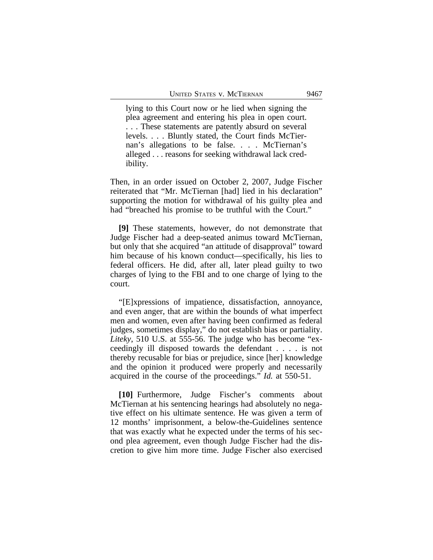lying to this Court now or he lied when signing the plea agreement and entering his plea in open court. . . . These statements are patently absurd on several levels. . . . Bluntly stated, the Court finds McTiernan's allegations to be false. . . . McTiernan's alleged . . . reasons for seeking withdrawal lack credibility.

Then, in an order issued on October 2, 2007, Judge Fischer reiterated that "Mr. McTiernan [had] lied in his declaration" supporting the motion for withdrawal of his guilty plea and had "breached his promise to be truthful with the Court."

**[9]** These statements, however, do not demonstrate that Judge Fischer had a deep-seated animus toward McTiernan, but only that she acquired "an attitude of disapproval" toward him because of his known conduct—specifically, his lies to federal officers. He did, after all, later plead guilty to two charges of lying to the FBI and to one charge of lying to the court.

"[E]xpressions of impatience, dissatisfaction, annoyance, and even anger, that are within the bounds of what imperfect men and women, even after having been confirmed as federal judges, sometimes display," do not establish bias or partiality. *Liteky*, 510 U.S. at 555-56. The judge who has become "exceedingly ill disposed towards the defendant . . . . is not thereby recusable for bias or prejudice, since [her] knowledge and the opinion it produced were properly and necessarily acquired in the course of the proceedings." *Id.* at 550-51.

**[10]** Furthermore, Judge Fischer's comments about McTiernan at his sentencing hearings had absolutely no negative effect on his ultimate sentence. He was given a term of 12 months' imprisonment, a below-the-Guidelines sentence that was exactly what he expected under the terms of his second plea agreement, even though Judge Fischer had the discretion to give him more time. Judge Fischer also exercised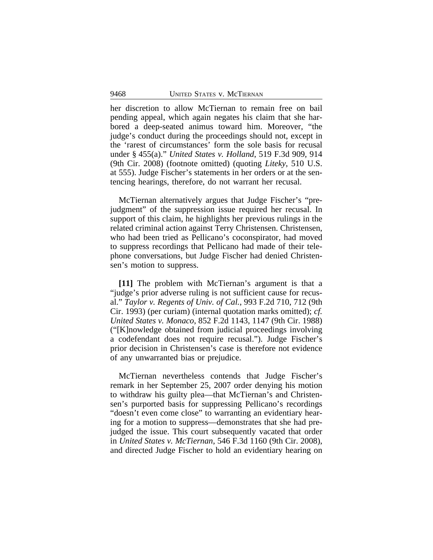her discretion to allow McTiernan to remain free on bail pending appeal, which again negates his claim that she harbored a deep-seated animus toward him. Moreover, "the judge's conduct during the proceedings should not, except in the 'rarest of circumstances' form the sole basis for recusal under § 455(a)." *United States v. Holland*, 519 F.3d 909, 914 (9th Cir. 2008) (footnote omitted) (quoting *Liteky*, 510 U.S. at 555). Judge Fischer's statements in her orders or at the sentencing hearings, therefore, do not warrant her recusal.

McTiernan alternatively argues that Judge Fischer's "prejudgment" of the suppression issue required her recusal. In support of this claim, he highlights her previous rulings in the related criminal action against Terry Christensen. Christensen, who had been tried as Pellicano's coconspirator, had moved to suppress recordings that Pellicano had made of their telephone conversations, but Judge Fischer had denied Christensen's motion to suppress.

**[11]** The problem with McTiernan's argument is that a "judge's prior adverse ruling is not sufficient cause for recusal." *Taylor v. Regents of Univ. of Cal.*, 993 F.2d 710, 712 (9th Cir. 1993) (per curiam) (internal quotation marks omitted); *cf. United States v. Monaco*, 852 F.2d 1143, 1147 (9th Cir. 1988) ("[K]nowledge obtained from judicial proceedings involving a codefendant does not require recusal."). Judge Fischer's prior decision in Christensen's case is therefore not evidence of any unwarranted bias or prejudice.

McTiernan nevertheless contends that Judge Fischer's remark in her September 25, 2007 order denying his motion to withdraw his guilty plea—that McTiernan's and Christensen's purported basis for suppressing Pellicano's recordings "doesn't even come close" to warranting an evidentiary hearing for a motion to suppress—demonstrates that she had prejudged the issue. This court subsequently vacated that order in *United States v. McTiernan*, 546 F.3d 1160 (9th Cir. 2008), and directed Judge Fischer to hold an evidentiary hearing on